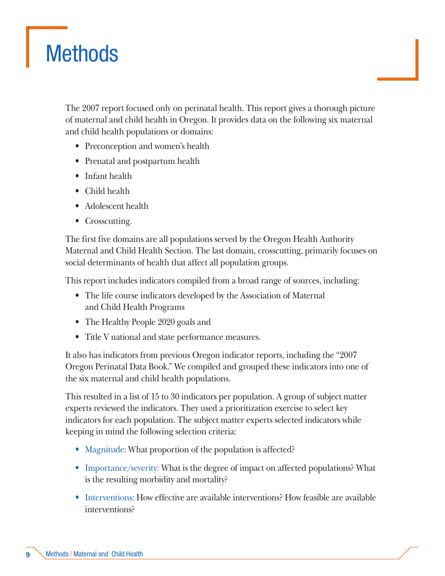## **Methods**

The 2007 report focused only on perinatal health. This report gives a thorough picture of maternal and child health in Oregon. It provides data on the following six maternal and child health populations or domains:

- Preconception and women's health
- Prenatal and postpartum health
- Infant health
- Child health
- Adolescent health
- Crosscutting.

The first five domains are all populations served by the Oregon Health Authority Maternal and Child Health Section. The last domain, crosscutting, primarily focuses on social determinants of health that affect all population groups.

This report includes indicators compiled from a broad range of sources, including:

- The life course indicators developed by the Association of Maternal and Child Health Programs
- The Healthy People 2020 goals and
- Title V national and state performance measures.

It also has indicators from previous Oregon indicator reports, including the "2007 Oregon Perinatal Data Book." We compiled and grouped these indicators into one of the six maternal and child health populations.

This resulted in a list of 15 to 30 indicators per population. A group of subject matter experts reviewed the indicators. They used a prioritization exercise to select key indicators for each population. The subject matter experts selected indicators while keeping in mind the following selection criteria:

- Magnitude: What proportion of the population is affected?
- Importance/severity: What is the degree of impact on affected populations? What is the resulting morbidity and mortality?
- Interventions: How effective are available interventions? How feasible are available interventions?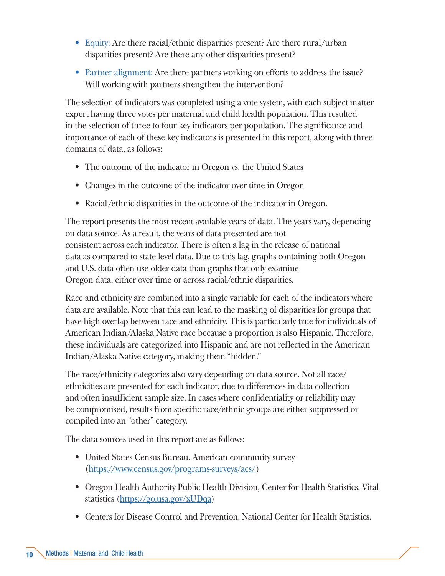- Equity: Are there racial/ethnic disparities present? Are there rural/urban disparities present? Are there any other disparities present?
- Partner alignment: Are there partners working on efforts to address the issue? Will working with partners strengthen the intervention?

The selection of indicators was completed using a vote system, with each subject matter expert having three votes per maternal and child health population. This resulted in the selection of three to four key indicators per population. The significance and importance of each of these key indicators is presented in this report, along with three domains of data, as follows:

- The outcome of the indicator in Oregon vs. the United States
- Changes in the outcome of the indicator over time in Oregon
- Racial/ethnic disparities in the outcome of the indicator in Oregon.

The report presents the most recent available years of data. The years vary, depending on data source. As a result, the years of data presented are not consistent across each indicator. There is often a lag in the release of national data as compared to state level data. Due to this lag, graphs containing both Oregon and U.S. data often use older data than graphs that only examine Oregon data, either over time or across racial/ethnic disparities.

Race and ethnicity are combined into a single variable for each of the indicators where data are available. Note that this can lead to the masking of disparities for groups that have high overlap between race and ethnicity. This is particularly true for individuals of American Indian/Alaska Native race because a proportion is also Hispanic. Therefore, these individuals are categorized into Hispanic and are not reflected in the American Indian/Alaska Native category, making them "hidden."

The race/ethnicity categories also vary depending on data source. Not all race/ ethnicities are presented for each indicator, due to differences in data collection and often insufficient sample size. In cases where confidentiality or reliability may be compromised, results from specific race/ethnic groups are either suppressed or compiled into an "other" category.

The data sources used in this report are as follows:

- United States Census Bureau. American community survey [\(https://www.census.gov/programs-surveys/acs/](https://www.census.gov/programs-surveys/acs/))
- Oregon Health Authority Public Health Division, Center for Health Statistics. Vital statistics (https://go.usa.gov/xUDqa)
- Centers for Disease Control and Prevention, National Center for Health Statistics.